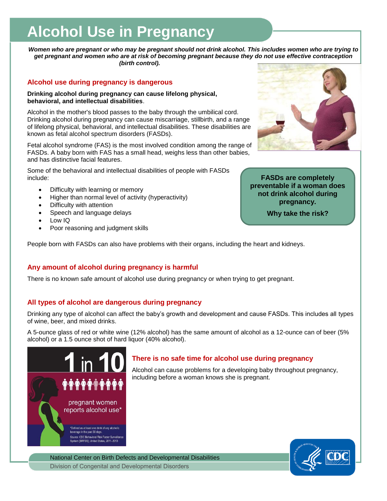# **Alcohol Use in Pregnancy**

*Women who are pregnant or who may be pregnant should not drink alcohol. This includes women who are trying to get pregnant and women who are at risk of becoming pregnant because they do not use effective contraception (birth control).* 

## **Alcohol use during pregnancy is dangerous**

**Drinking alcohol during pregnancy can cause lifelong physical, behavioral, and intellectual disabilities**.

Alcohol in the mother's blood passes to the baby through the umbilical cord. Drinking alcohol during pregnancy can cause miscarriage, stillbirth, and a range of lifelong physical, behavioral, and intellectual disabilities. These disabilities are known as fetal alcohol spectrum disorders (FASDs).

Fetal alcohol syndrome (FAS) is the most involved condition among the range of FASDs. A baby born with FAS has a small head, weighs less than other babies, and has distinctive facial features.

Some of the behavioral and intellectual disabilities of people with FASDs include:

- Difficulty with learning or memory
- Higher than normal level of activity (hyperactivity)
- Difficulty with attention
- Speech and language delays
- Low IQ
- Poor reasoning and judgment skills



**FASDs are completely preventable if a woman does not drink alcohol during pregnancy.** 

**Why take the risk?**

People born with FASDs can also have problems with their organs, including the heart and kidneys.

## **Any amount of alcohol during pregnancy is harmful**

There is no known safe amount of alcohol use during pregnancy or when trying to get pregnant.

## **All types of alcohol are dangerous during pregnancy**

Drinking any type of alcohol can affect the baby's growth and development and cause FASDs. This includes all types of wine, beer, and mixed drinks.

A 5-ounce glass of red or white wine (12% alcohol) has the same amount of alcohol as a 12-ounce can of beer (5% alcohol) or a 1.5 ounce shot of hard liquor (40% alcohol).



## **There is no safe time for alcohol use during pregnancy**

Alcohol can cause problems for a developing baby throughout pregnancy, including before a woman knows she is pregnant.

National Center on Birth Defects and Developmental Disabilities Division of Congenital and Developmental Disorders